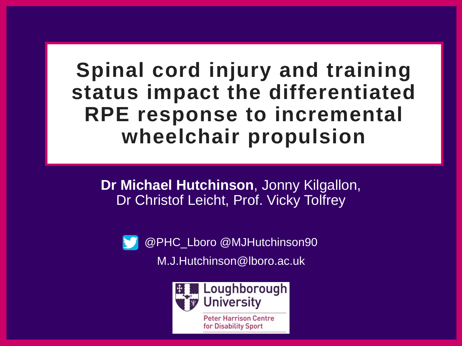**Spinal cord injury and training status impact the differentiated RPE response to incremental wheelchair propulsion**

**Dr Michael Hutchinson**, Jonny Kilgallon, Dr Christof Leicht, Prof. Vicky Tolfrey



@PHC\_Lboro @MJHutchinson90 M.J.Hutchinson@lboro.ac.uk



**Peter Harrison Centre** for Disability Sport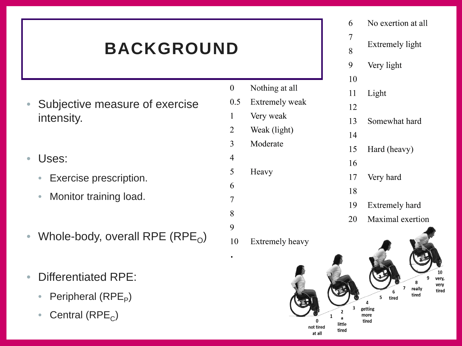### **BACKGROUND**

- Subjective measure of exercise intensity.
- Uses:
	- Exercise prescription.
	- Monitor training load.
- Whole-body, overall RPE (RPE<sub>O</sub>)
- Differentiated RPE:
	- Peripheral  $(RPE<sub>p</sub>)$
	- Central  $(RPE<sub>c</sub>)$
- $\theta$ Nothing at all
- $0.5$ Extremely weak
- Very weak 1
- Weak (light)  $\overline{2}$
- Moderate 3
- 4
- 5 Heavy 6

7

8

9

10

No exertion at all **Extremely light** Very light  $10$ Light 12 13 Somewhat hard 14 Hard (heavy) 15 16 Very hard 17 18

6

 $\overline{7}$ 

8

9

11

- 19 Extremely hard
- Maximal exertion 20

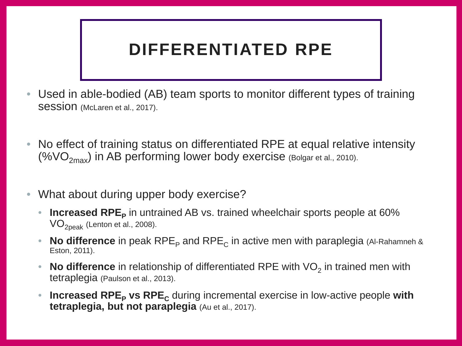#### **DIFFERENTIATED RPE**

- Used in able-bodied (AB) team sports to monitor different types of training Session (McLaren et al., 2017).
- No effect of training status on differentiated RPE at equal relative intensity (% $VO_{2max}$ ) in AB performing lower body exercise (Bolgar et al., 2010).
- What about during upper body exercise?
	- **Increased RPE**<sub>p</sub> in untrained AB vs. trained wheelchair sports people at 60%  $VO<sub>2peak</sub>$  (Lenton et al., 2008).
	- **No difference** in peak RPE<sub>P</sub> and RPE<sub>C</sub> in active men with paraplegia (Al-Rahamneh & Eston, 2011).
	- **No difference** in relationship of differentiated RPE with VO<sub>2</sub> in trained men with tetraplegia (Paulson et al., 2013).
	- **Increased RPE<sub>P</sub> vs RPE**<sub>c</sub> during incremental exercise in low-active people with **tetraplegia, but not paraplegia** (Au et al., 2017).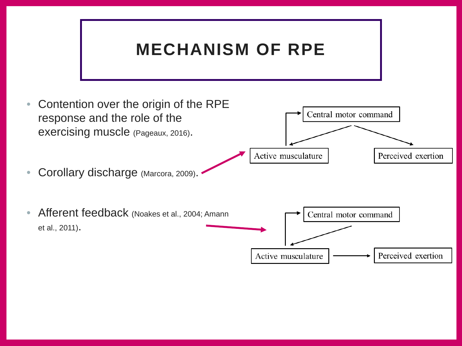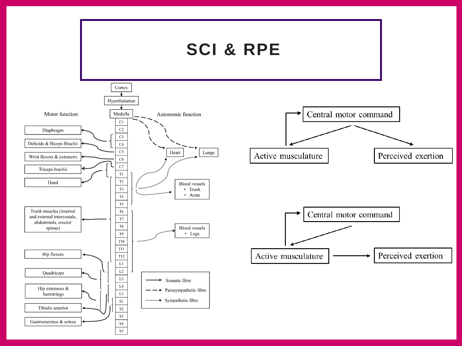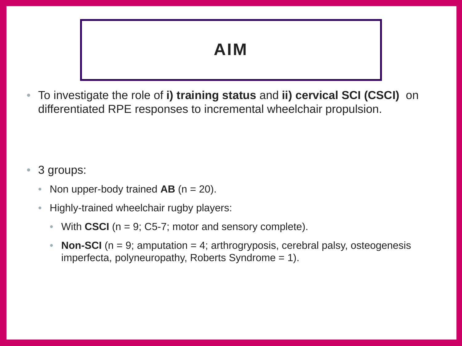#### **AIM**

• To investigate the role of **i) training status** and **ii) cervical SCI (CSCI)** on differentiated RPE responses to incremental wheelchair propulsion.

#### • 3 groups:

- Non upper-body trained  $AB$  (n = 20).
- Highly-trained wheelchair rugby players:
	- With **CSCI** (n = 9; C5-7; motor and sensory complete).
	- **Non-SCI** ( $n = 9$ ; amputation = 4; arthrogryposis, cerebral palsy, osteogenesis imperfecta, polyneuropathy, Roberts Syndrome = 1).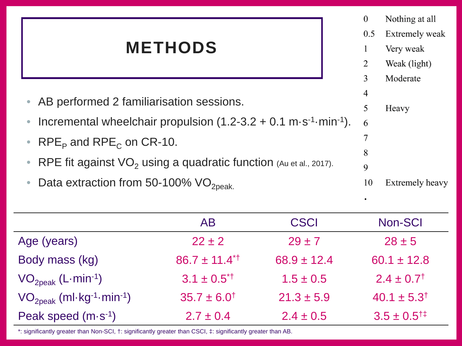### **METHODS**

 $\overline{0}$ Nothing at all  $0.5$ **Extremely weak** Very weak 1 2 Weak (light) 3 Moderate 4 • AB performed 2 familiarisation sessions. 5 Heavy • Incremental wheelchair propulsion  $(1.2-3.2 + 0.1 \text{ m} \cdot \text{s}^{-1} \cdot \text{min}^{-1})$ . 6 7 • RPE<sub>P</sub> and RPE<sub>C</sub> on CR-10. 8 • RPE fit against  $VO<sub>2</sub>$  using a quadratic function (Au et al., 2017). 9 • Data extraction from 50-100%  $VO<sub>2peak</sub>$ . 10 **Extremely heavy** 

|                                                        | AB                          | <b>CSCI</b>     | Non-SCI                     |
|--------------------------------------------------------|-----------------------------|-----------------|-----------------------------|
| Age (years)                                            | $22 \pm 2$                  | $29 \pm 7$      | $28 \pm 5$                  |
| Body mass (kg)                                         | $86.7 \pm 11.4^{\text{*}}$  | $68.9 \pm 12.4$ | $60.1 \pm 12.8$             |
| $VO_{2\text{peak}}$ (L-min <sup>-1</sup> )             | $3.1 \pm 0.5$ <sup>*†</sup> | $1.5 \pm 0.5$   | $2.4 \pm 0.7$ <sup>†</sup>  |
| $VO_{2peak}$ (ml-kg <sup>-1</sup> -min <sup>-1</sup> ) | $35.7 \pm 6.0^{\dagger}$    | $21.3 \pm 5.9$  | $40.1 \pm 5.3^{\dagger}$    |
| Peak speed $(m \cdot s^{-1})$                          | $2.7 \pm 0.4$               | $2.4 \pm 0.5$   | $3.5 \pm 0.5$ <sup>†‡</sup> |

\*: significantly greater than Non-SCI, †: significantly greater than CSCI, ‡: significantly greater than AB.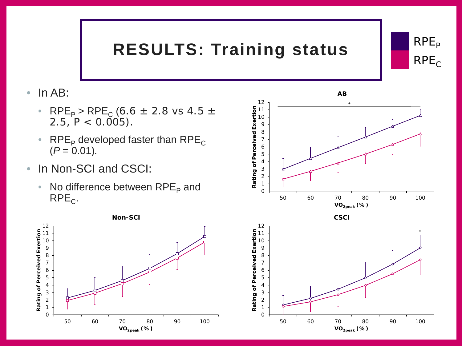## **RESULTS: Training status**



- RPE<sub>P</sub> > RPE<sub>C</sub> (6.6  $\pm$  2.8 vs 4.5  $\pm$ 2.5,  $P < 0.005$ ).
- RPE<sub>P</sub> developed faster than RPE<sub>C</sub>  $(P = 0.01)$ .
- In Non-SCI and CSCI:
	- No difference between  $\text{RPE}_{\text{P}}$  and  $RPE<sub>C</sub>$ .





 $RPE<sub>p</sub>$ 

 $RPE<sub>C</sub>$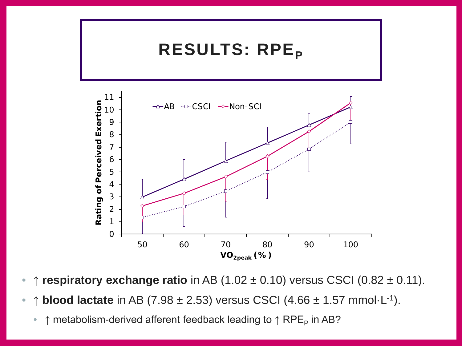

- ↑ **respiratory exchange ratio** in AB (1.02 ± 0.10) versus CSCI (0.82 ± 0.11).
- ↑ **blood lactate** in AB (7.98 ± 2.53) versus CSCI (4.66 ± 1.57 mmol·L-1).
	- $\uparrow$  metabolism-derived afferent feedback leading to  $\uparrow$  RPE<sub>P</sub> in AB?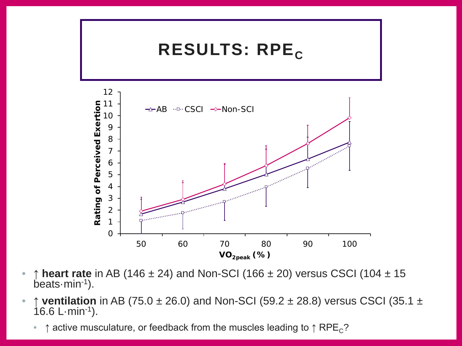

- ↑ **heart rate** in AB (146 ± 24) and Non-SCI (166 ± 20) versus CSCI (104 ± 15 beats·min-1).
- ↑ **ventilation** in AB (75.0 ± 26.0) and Non-SCI (59.2 ± 28.8) versus CSCI (35.1 ±  $16.6$  L $\cdot$ min $^{-1}$ ).
	- $\uparrow$  active musculature, or feedback from the muscles leading to  $\uparrow$  RPE<sub>C</sub>?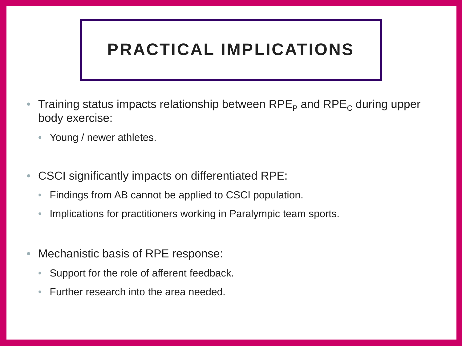#### **PRACTICAL IMPLICATIONS**

- Training status impacts relationship between  $RPE<sub>P</sub>$  and  $RPE<sub>C</sub>$  during upper body exercise:
	- Young / newer athletes.
- CSCI significantly impacts on differentiated RPE:
	- Findings from AB cannot be applied to CSCI population.
	- Implications for practitioners working in Paralympic team sports.
- Mechanistic basis of RPE response:
	- Support for the role of afferent feedback.
	- Further research into the area needed.